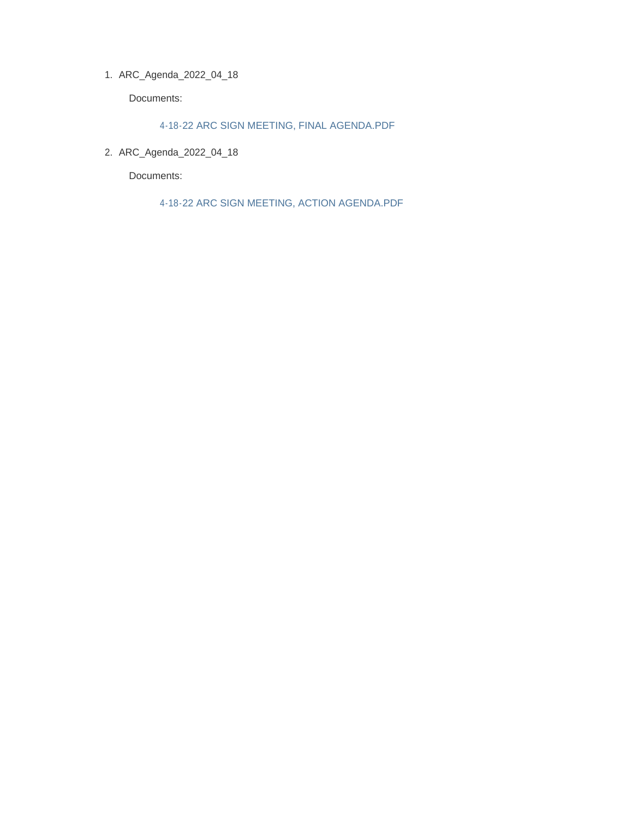ARC\_Agenda\_2022\_04\_18 1.

Documents:

4-18-22 ARC SIGN MEETING, FINAL AGENDA.PDF

2. ARC\_Agenda\_2022\_04\_18

Documents:

4-18-22 ARC SIGN MEETING, ACTION AGENDA.PDF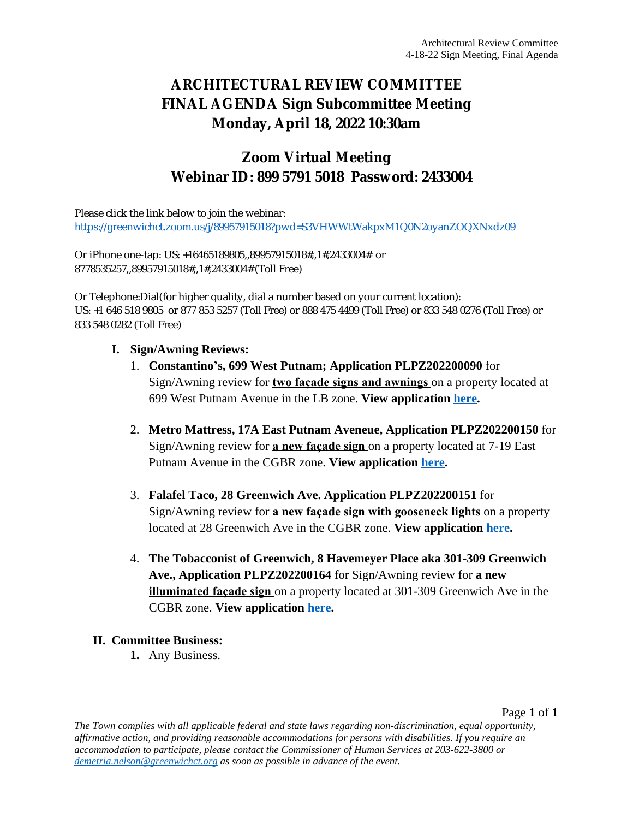# **ARCHITECTURAL REVIEW COMMITTEE FINAL AGENDA Sign Subcommittee Meeting Monday, April 18, 2022 10:30am**

# **Zoom Virtual Meeting Webinar ID: 899 5791 5018 Password: 2433004**

Please click the link below to join the webinar: <https://greenwichct.zoom.us/j/89957915018?pwd=S3VHWWtWakpxM1Q0N2oyanZOQXNxdz09>

Or iPhone one-tap: US: +16465189805,,89957915018#,,1#,2433004# or 8778535257,,89957915018#,,1#,2433004# (Toll Free)

Or Telephone:Dial(for higher quality, dial a number based on your current location): US: +1 646 518 9805 or 877 853 5257 (Toll Free) or 888 475 4499 (Toll Free) or 833 548 0276 (Toll Free) or 833 548 0282 (Toll Free)

### **I. Sign/Awning Reviews:**

- 1. **Constantino's, 699 West Putnam; Application PLPZ202200090** for Sign/Awning review for **two façade signs and awnings** on a property located at 699 West Putnam Avenue in the LB zone. **View application [here.](https://www.greenwichct.gov/DocumentCenter/View/30547/ARC-SA-699-WEST-PUTNAM-AVENUE-GREENWICH-CT-PLPZ202200090)**
- 2. **Metro Mattress, 17A East Putnam Aveneue, Application PLPZ202200150** for Sign/Awning review for **a new façade sign** on a property located at 7-19 East Putnam Avenue in the CGBR zone. **View application [here](https://www.greenwichct.gov/DocumentCenter/View/30545/ARC-SA-17A-East-Putnam-PLPZ202200150).**
- 3. **Falafel Taco, 28 Greenwich Ave. Application PLPZ202200151** for Sign/Awning review for **a new façade sign with gooseneck lights** on a property located at 28 Greenwich Ave in the CGBR zone. **View application [here](https://www.greenwichct.gov/DocumentCenter/View/30546/ARC-SA-28-greenwich-ave-falafel-taco-PLPZ202200151).**
- 4. **The Tobacconist of Greenwich, 8 Havemeyer Place aka 301-309 Greenwich Ave., Application PLPZ202200164** for Sign/Awning review for **a new illuminated façade sign** on a property located at 301-309 Greenwich Ave in the CGBR zone. **View application [here](https://www.greenwichct.gov/DocumentCenter/View/30548/ARC-SA-The-Tobacconist-301-309-Greenwich-PLPZ202200164).**

## **II. Committee Business:**

**1.** Any Business.

Page **1** of **1**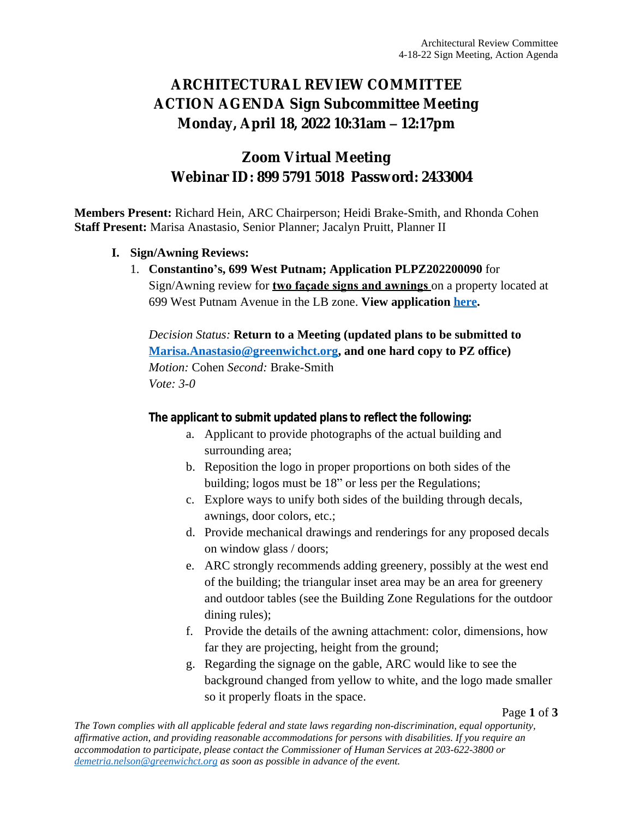# **ARCHITECTURAL REVIEW COMMITTEE ACTION AGENDA Sign Subcommittee Meeting Monday, April 18, 2022 10:31am – 12:17pm**

# **Zoom Virtual Meeting Webinar ID: 899 5791 5018 Password: 2433004**

**Members Present:** Richard Hein, ARC Chairperson; Heidi Brake-Smith, and Rhonda Cohen **Staff Present:** Marisa Anastasio, Senior Planner; Jacalyn Pruitt, Planner II

### **I. Sign/Awning Reviews:**

1. **Constantino's, 699 West Putnam; Application PLPZ202200090** for Sign/Awning review for **two façade signs and awnings** on a property located at 699 West Putnam Avenue in the LB zone. **View application [here.](https://www.greenwichct.gov/DocumentCenter/View/30547/ARC-SA-699-WEST-PUTNAM-AVENUE-GREENWICH-CT-PLPZ202200090)**

*Decision Status:* **Return to a Meeting (updated plans to be submitted to [Marisa.Anastasio@greenwichct.org](mailto:Marisa.Anastasio@greenwichct.org), and one hard copy to PZ office)** *Motion:* Cohen *Second:* Brake-Smith *Vote: 3-0*

### **The applicant to submit updated plans to reflect the following:**

- a. Applicant to provide photographs of the actual building and surrounding area;
- b. Reposition the logo in proper proportions on both sides of the building; logos must be 18" or less per the Regulations;
- c. Explore ways to unify both sides of the building through decals, awnings, door colors, etc.;
- d. Provide mechanical drawings and renderings for any proposed decals on window glass / doors;
- e. ARC strongly recommends adding greenery, possibly at the west end of the building; the triangular inset area may be an area for greenery and outdoor tables (see the Building Zone Regulations for the outdoor dining rules);
- f. Provide the details of the awning attachment: color, dimensions, how far they are projecting, height from the ground;
- g. Regarding the signage on the gable, ARC would like to see the background changed from yellow to white, and the logo made smaller so it properly floats in the space.

#### Page **1** of **3**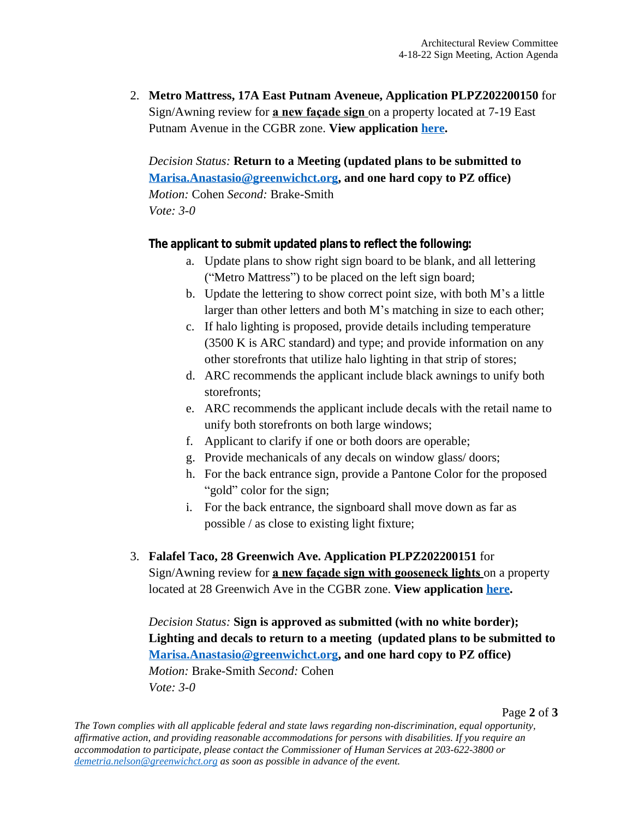2. **Metro Mattress, 17A East Putnam Aveneue, Application PLPZ202200150** for Sign/Awning review for **a new façade sign** on a property located at 7-19 East Putnam Avenue in the CGBR zone. **View application [here](https://www.greenwichct.gov/DocumentCenter/View/30545/ARC-SA-17A-East-Putnam-PLPZ202200150).**

*Decision Status:* **Return to a Meeting (updated plans to be submitted to [Marisa.Anastasio@greenwichct.org](mailto:Marisa.Anastasio@greenwichct.org), and one hard copy to PZ office)** *Motion:* Cohen *Second:* Brake-Smith *Vote: 3-0*

### **The applicant to submit updated plans to reflect the following:**

- a. Update plans to show right sign board to be blank, and all lettering ("Metro Mattress") to be placed on the left sign board;
- b. Update the lettering to show correct point size, with both M's a little larger than other letters and both M's matching in size to each other;
- c. If halo lighting is proposed, provide details including temperature (3500 K is ARC standard) and type; and provide information on any other storefronts that utilize halo lighting in that strip of stores;
- d. ARC recommends the applicant include black awnings to unify both storefronts;
- e. ARC recommends the applicant include decals with the retail name to unify both storefronts on both large windows;
- f. Applicant to clarify if one or both doors are operable;
- g. Provide mechanicals of any decals on window glass/ doors;
- h. For the back entrance sign, provide a Pantone Color for the proposed "gold" color for the sign;
- i. For the back entrance, the signboard shall move down as far as possible / as close to existing light fixture;

# 3. **Falafel Taco, 28 Greenwich Ave. Application PLPZ202200151** for

Sign/Awning review for **a new façade sign with gooseneck lights** on a property located at 28 Greenwich Ave in the CGBR zone. **View application [here](https://www.greenwichct.gov/DocumentCenter/View/30546/ARC-SA-28-greenwich-ave-falafel-taco-PLPZ202200151).**

*Decision Status:* **Sign is approved as submitted (with no white border); Lighting and decals to return to a meeting (updated plans to be submitted to [Marisa.Anastasio@greenwichct.org](mailto:Marisa.Anastasio@greenwichct.org), and one hard copy to PZ office)** *Motion:* Brake-Smith *Second:* Cohen *Vote: 3-0*

Page **2** of **3**